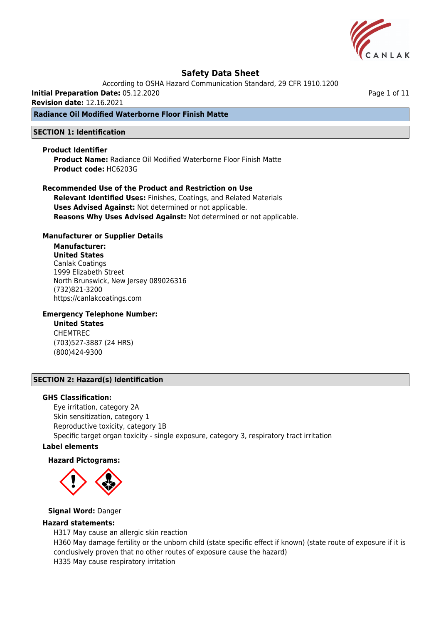

According to OSHA Hazard Communication Standard, 29 CFR 1910.1200

**Initial Preparation Date:** 05.12.2020

**Revision date:** 12.16.2021

#### **Radiance Oil Modified Waterborne Floor Finish Matte**

#### **SECTION 1: Identification**

#### **Product Identifier**

**Product Name:** Radiance Oil Modified Waterborne Floor Finish Matte **Product code:** HC6203G

**Recommended Use of the Product and Restriction on Use Relevant Identified Uses:** Finishes, Coatings, and Related Materials **Uses Advised Against:** Not determined or not applicable. **Reasons Why Uses Advised Against:** Not determined or not applicable.

#### **Manufacturer or Supplier Details**

**Manufacturer: United States** Canlak Coatings 1999 Elizabeth Street North Brunswick, New Jersey 089026316 (732)821-3200 https://canlakcoatings.com

#### **Emergency Telephone Number:**

**United States** CHEMTREC (703)527-3887 (24 HRS) (800)424-9300

#### **SECTION 2: Hazard(s) Identification**

#### **GHS Classification:**

Eye irritation, category 2A Skin sensitization, category 1 Reproductive toxicity, category 1B Specific target organ toxicity - single exposure, category 3, respiratory tract irritation

#### **Label elements**

#### **Hazard Pictograms:**



#### **Signal Word:** Danger

#### **Hazard statements:**

H317 May cause an allergic skin reaction H360 May damage fertility or the unborn child (state specific effect if known) (state route of exposure if it is conclusively proven that no other routes of exposure cause the hazard) H335 May cause respiratory irritation

Page 1 of 11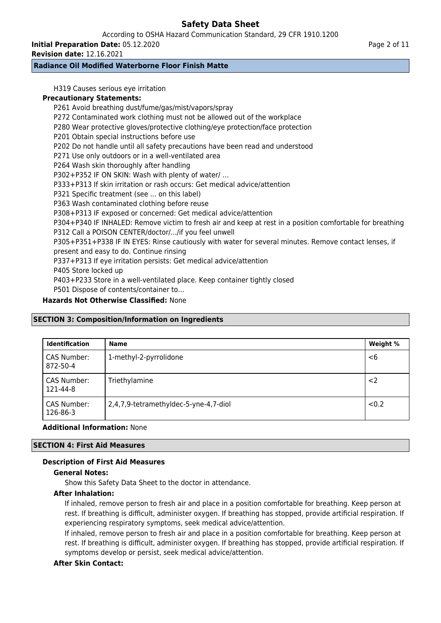According to OSHA Hazard Communication Standard, 29 CFR 1910.1200

**Initial Preparation Date:** 05.12.2020

**Revision date:** 12.16.2021

# **Radiance Oil Modified Waterborne Floor Finish Matte**

H319 Causes serious eye irritation

### **Precautionary Statements:**

P261 Avoid breathing dust/fume/gas/mist/vapors/spray P272 Contaminated work clothing must not be allowed out of the workplace P280 Wear protective gloves/protective clothing/eye protection/face protection P201 Obtain special instructions before use P202 Do not handle until all safety precautions have been read and understood P271 Use only outdoors or in a well-ventilated area P264 Wash skin thoroughly after handling P302+P352 IF ON SKIN: Wash with plenty of water/ … P333+P313 If skin irritation or rash occurs: Get medical advice/attention P321 Specific treatment (see ... on this label) P363 Wash contaminated clothing before reuse P308+P313 IF exposed or concerned: Get medical advice/attention P304+P340 IF INHALED: Remove victim to fresh air and keep at rest in a position comfortable for breathing P312 Call a POISON CENTER/doctor/.../if you feel unwell P305+P351+P338 IF IN EYES: Rinse cautiously with water for several minutes. Remove contact lenses, if present and easy to do. Continue rinsing P337+P313 If eye irritation persists: Get medical advice/attention P405 Store locked up P403+P233 Store in a well-ventilated place. Keep container tightly closed P501 Dispose of contents/container to…

# **Hazards Not Otherwise Classified:** None

#### **SECTION 3: Composition/Information on Ingredients**

| <b>Identification</b>   | <b>Name</b>                           | Weight % |
|-------------------------|---------------------------------------|----------|
| CAS Number:<br>872-50-4 | 1-methyl-2-pyrrolidone                | $<$ 6    |
| CAS Number:<br>121-44-8 | Triethylamine                         | $<$ 2    |
| CAS Number:<br>126-86-3 | 2,4,7,9-tetramethyldec-5-yne-4,7-diol | <0.2     |

#### **Additional Information:** None

#### **SECTION 4: First Aid Measures**

#### **Description of First Aid Measures**

#### **General Notes:**

Show this Safety Data Sheet to the doctor in attendance.

#### **After Inhalation:**

If inhaled, remove person to fresh air and place in a position comfortable for breathing. Keep person at rest. If breathing is difficult, administer oxygen. If breathing has stopped, provide artificial respiration. If experiencing respiratory symptoms, seek medical advice/attention.

If inhaled, remove person to fresh air and place in a position comfortable for breathing. Keep person at rest. If breathing is difficult, administer oxygen. If breathing has stopped, provide artificial respiration. If symptoms develop or persist, seek medical advice/attention.

# **After Skin Contact:**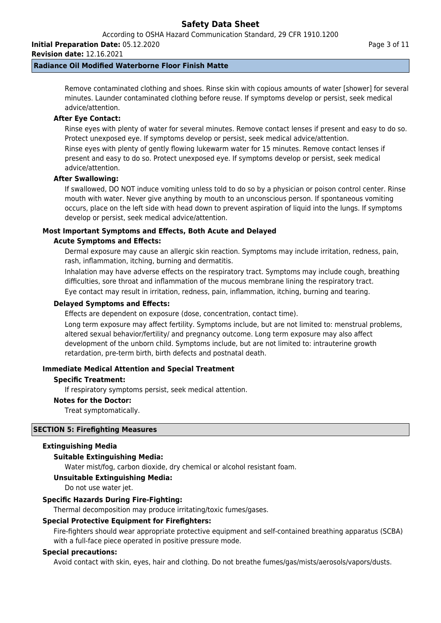According to OSHA Hazard Communication Standard, 29 CFR 1910.1200

**Initial Preparation Date:** 05.12.2020

**Revision date:** 12.16.2021

### **Radiance Oil Modified Waterborne Floor Finish Matte**

Remove contaminated clothing and shoes. Rinse skin with copious amounts of water [shower] for several minutes. Launder contaminated clothing before reuse. If symptoms develop or persist, seek medical advice/attention.

#### **After Eye Contact:**

Rinse eyes with plenty of water for several minutes. Remove contact lenses if present and easy to do so. Protect unexposed eye. If symptoms develop or persist, seek medical advice/attention.

Rinse eyes with plenty of gently flowing lukewarm water for 15 minutes. Remove contact lenses if present and easy to do so. Protect unexposed eye. If symptoms develop or persist, seek medical advice/attention.

#### **After Swallowing:**

If swallowed, DO NOT induce vomiting unless told to do so by a physician or poison control center. Rinse mouth with water. Never give anything by mouth to an unconscious person. If spontaneous vomiting occurs, place on the left side with head down to prevent aspiration of liquid into the lungs. If symptoms develop or persist, seek medical advice/attention.

# **Most Important Symptoms and Effects, Both Acute and Delayed**

#### **Acute Symptoms and Effects:**

Dermal exposure may cause an allergic skin reaction. Symptoms may include irritation, redness, pain, rash, inflammation, itching, burning and dermatitis.

Inhalation may have adverse effects on the respiratory tract. Symptoms may include cough, breathing difficulties, sore throat and inflammation of the mucous membrane lining the respiratory tract.

Eye contact may result in irritation, redness, pain, inflammation, itching, burning and tearing.

#### **Delayed Symptoms and Effects:**

Effects are dependent on exposure (dose, concentration, contact time).

Long term exposure may affect fertility. Symptoms include, but are not limited to: menstrual problems, altered sexual behavior/fertility/ and pregnancy outcome. Long term exposure may also affect development of the unborn child. Symptoms include, but are not limited to: intrauterine growth retardation, pre-term birth, birth defects and postnatal death.

#### **Immediate Medical Attention and Special Treatment**

#### **Specific Treatment:**

If respiratory symptoms persist, seek medical attention.

#### **Notes for the Doctor:**

Treat symptomatically.

#### **SECTION 5: Firefighting Measures**

#### **Extinguishing Media**

#### **Suitable Extinguishing Media:**

Water mist/fog, carbon dioxide, dry chemical or alcohol resistant foam.

#### **Unsuitable Extinguishing Media:**

Do not use water jet.

#### **Specific Hazards During Fire-Fighting:**

Thermal decomposition may produce irritating/toxic fumes/gases.

#### **Special Protective Equipment for Firefighters:**

Fire-fighters should wear appropriate protective equipment and self-contained breathing apparatus (SCBA) with a full-face piece operated in positive pressure mode.

#### **Special precautions:**

Avoid contact with skin, eyes, hair and clothing. Do not breathe fumes/gas/mists/aerosols/vapors/dusts.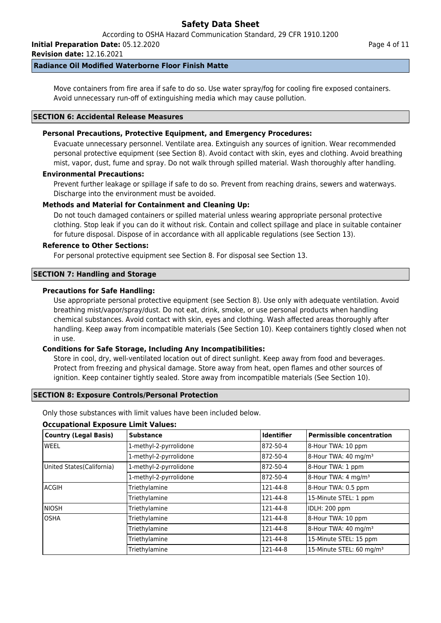**Initial Preparation Date:** 05.12.2020

**Revision date:** 12.16.2021

### **Radiance Oil Modified Waterborne Floor Finish Matte**

Move containers from fire area if safe to do so. Use water spray/fog for cooling fire exposed containers. Avoid unnecessary run-off of extinguishing media which may cause pollution.

#### **SECTION 6: Accidental Release Measures**

### **Personal Precautions, Protective Equipment, and Emergency Procedures:**

Evacuate unnecessary personnel. Ventilate area. Extinguish any sources of ignition. Wear recommended personal protective equipment (see Section 8). Avoid contact with skin, eyes and clothing. Avoid breathing mist, vapor, dust, fume and spray. Do not walk through spilled material. Wash thoroughly after handling.

#### **Environmental Precautions:**

Prevent further leakage or spillage if safe to do so. Prevent from reaching drains, sewers and waterways. Discharge into the environment must be avoided.

### **Methods and Material for Containment and Cleaning Up:**

Do not touch damaged containers or spilled material unless wearing appropriate personal protective clothing. Stop leak if you can do it without risk. Contain and collect spillage and place in suitable container for future disposal. Dispose of in accordance with all applicable regulations (see Section 13).

#### **Reference to Other Sections:**

For personal protective equipment see Section 8. For disposal see Section 13.

### **SECTION 7: Handling and Storage**

### **Precautions for Safe Handling:**

Use appropriate personal protective equipment (see Section 8). Use only with adequate ventilation. Avoid breathing mist/vapor/spray/dust. Do not eat, drink, smoke, or use personal products when handling chemical substances. Avoid contact with skin, eyes and clothing. Wash affected areas thoroughly after handling. Keep away from incompatible materials (See Section 10). Keep containers tightly closed when not in use.

#### **Conditions for Safe Storage, Including Any Incompatibilities:**

Store in cool, dry, well-ventilated location out of direct sunlight. Keep away from food and beverages. Protect from freezing and physical damage. Store away from heat, open flames and other sources of ignition. Keep container tightly sealed. Store away from incompatible materials (See Section 10).

#### **SECTION 8: Exposure Controls/Personal Protection**

Only those substances with limit values have been included below.

#### **Occupational Exposure Limit Values:**

| <b>Country (Legal Basis)</b> | <b>Substance</b>       | <b>Identifier</b> | Permissible concentration            |
|------------------------------|------------------------|-------------------|--------------------------------------|
| lweel                        | 1-methyl-2-pyrrolidone | 872-50-4          | 8-Hour TWA: 10 ppm                   |
|                              | 1-methyl-2-pyrrolidone | 872-50-4          | 8-Hour TWA: 40 mg/m <sup>3</sup>     |
| United States (California)   | 1-methyl-2-pyrrolidone | 872-50-4          | 8-Hour TWA: 1 ppm                    |
|                              | 1-methyl-2-pyrrolidone | 872-50-4          | 8-Hour TWA: 4 mg/m <sup>3</sup>      |
| lacgih                       | Triethylamine          | 121-44-8          | 8-Hour TWA: 0.5 ppm                  |
|                              | Triethylamine          | 121-44-8          | 15-Minute STEL: 1 ppm                |
| <b>INIOSH</b>                | Triethylamine          | 121-44-8          | IDLH: 200 ppm                        |
| losha                        | Triethylamine          | 121-44-8          | 8-Hour TWA: 10 ppm                   |
|                              | Triethylamine          | 121-44-8          | 8-Hour TWA: 40 mg/m <sup>3</sup>     |
|                              | Triethylamine          | 121-44-8          | 15-Minute STEL: 15 ppm               |
|                              | Triethylamine          | 121-44-8          | 15-Minute STEL: 60 mg/m <sup>3</sup> |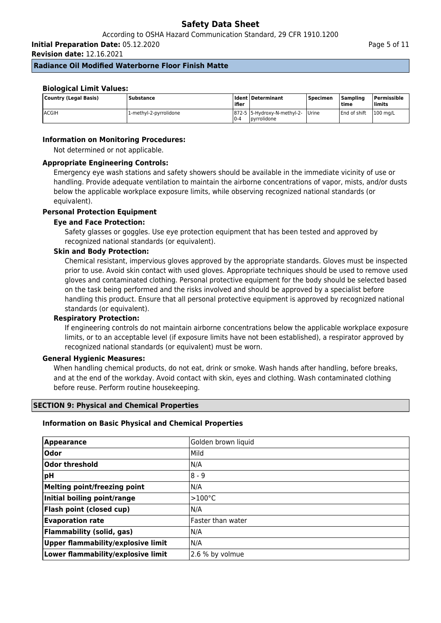**Initial Preparation Date:** 05.12.2020

**Revision date:** 12.16.2021

#### **Radiance Oil Modified Waterborne Floor Finish Matte**

#### **Biological Limit Values:**

| Country (Legal Basis) | <b>Substance</b>       | l ifier | I Ident   Determinant                            | l Specimen | <b>Sampling</b><br>ltime | Permissible<br>limits |
|-----------------------|------------------------|---------|--------------------------------------------------|------------|--------------------------|-----------------------|
| <b>ACGIH</b>          | 1-methyl-2-pyrrolidone | $0 - 4$ | 872-5 5-Hydroxy-N-methyl-2- Urine<br>pyrrolidone |            | <b>End of shift</b>      | 100 ma/L              |

### **Information on Monitoring Procedures:**

Not determined or not applicable.

#### **Appropriate Engineering Controls:**

Emergency eye wash stations and safety showers should be available in the immediate vicinity of use or handling. Provide adequate ventilation to maintain the airborne concentrations of vapor, mists, and/or dusts below the applicable workplace exposure limits, while observing recognized national standards (or equivalent).

### **Personal Protection Equipment**

#### **Eye and Face Protection:**

Safety glasses or goggles. Use eye protection equipment that has been tested and approved by recognized national standards (or equivalent).

#### **Skin and Body Protection:**

Chemical resistant, impervious gloves approved by the appropriate standards. Gloves must be inspected prior to use. Avoid skin contact with used gloves. Appropriate techniques should be used to remove used gloves and contaminated clothing. Personal protective equipment for the body should be selected based on the task being performed and the risks involved and should be approved by a specialist before handling this product. Ensure that all personal protective equipment is approved by recognized national standards (or equivalent).

#### **Respiratory Protection:**

If engineering controls do not maintain airborne concentrations below the applicable workplace exposure limits, or to an acceptable level (if exposure limits have not been established), a respirator approved by recognized national standards (or equivalent) must be worn.

#### **General Hygienic Measures:**

When handling chemical products, do not eat, drink or smoke. Wash hands after handling, before breaks, and at the end of the workday. Avoid contact with skin, eyes and clothing. Wash contaminated clothing before reuse. Perform routine housekeeping.

#### **SECTION 9: Physical and Chemical Properties**

#### **Information on Basic Physical and Chemical Properties**

| Appearance                         | Golden brown liquid |
|------------------------------------|---------------------|
| <b>Odor</b>                        | Mild                |
| Odor threshold                     | N/A                 |
| ∣pH                                | $8 - 9$             |
| Melting point/freezing point       | N/A                 |
| Initial boiling point/range        | $>100^{\circ}$ C    |
| Flash point (closed cup)           | N/A                 |
| <b>Evaporation rate</b>            | lFaster than water  |
| <b>Flammability (solid, gas)</b>   | N/A                 |
| Upper flammability/explosive limit | N/A                 |
| Lower flammability/explosive limit | 2.6 % by volmue     |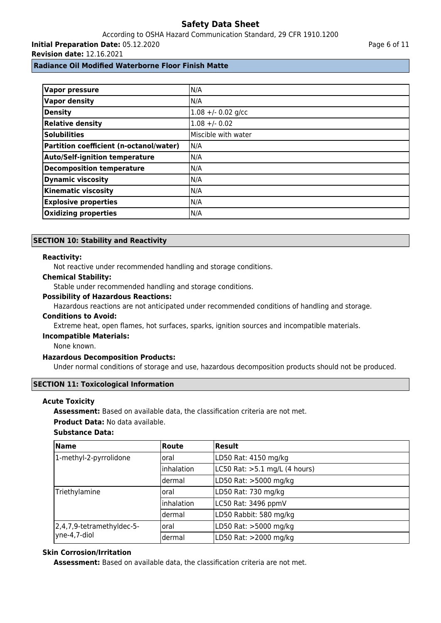# According to OSHA Hazard Communication Standard, 29 CFR 1910.1200 **Initial Preparation Date:** 05.12.2020

**Revision date:** 12.16.2021

**Radiance Oil Modified Waterborne Floor Finish Matte**

| <b>Vapor pressure</b>                   | N/A                 |
|-----------------------------------------|---------------------|
| <b>Vapor density</b>                    | N/A                 |
| Density                                 | $1.08 + -0.02$ g/cc |
| <b>Relative density</b>                 | $1.08 + - 0.02$     |
| <b>Solubilities</b>                     | Miscible with water |
| Partition coefficient (n-octanol/water) | N/A                 |
| <b>Auto/Self-ignition temperature</b>   | N/A                 |
| <b>Decomposition temperature</b>        | N/A                 |
| <b>Dynamic viscosity</b>                | N/A                 |
| <b>Kinematic viscosity</b>              | N/A                 |
| <b>Explosive properties</b>             | N/A                 |
| <b>Oxidizing properties</b>             | N/A                 |

#### **SECTION 10: Stability and Reactivity**

#### **Reactivity:**

Not reactive under recommended handling and storage conditions.

#### **Chemical Stability:**

Stable under recommended handling and storage conditions.

#### **Possibility of Hazardous Reactions:**

Hazardous reactions are not anticipated under recommended conditions of handling and storage.

#### **Conditions to Avoid:**

Extreme heat, open flames, hot surfaces, sparks, ignition sources and incompatible materials.

#### **Incompatible Materials:**

None known.

#### **Hazardous Decomposition Products:**

Under normal conditions of storage and use, hazardous decomposition products should not be produced.

#### **SECTION 11: Toxicological Information**

#### **Acute Toxicity**

**Assessment:** Based on available data, the classification criteria are not met.

#### **Product Data:** No data available.

### **Substance Data:**

| <b>Name</b>                               | Route             | Result                        |
|-------------------------------------------|-------------------|-------------------------------|
| 1-methyl-2-pyrrolidone                    | loral             | LD50 Rat: 4150 mg/kg          |
|                                           | Inhalation        | LC50 Rat: >5.1 mg/L (4 hours) |
|                                           | ldermal           | LD50 Rat: >5000 mg/kg         |
| Triethylamine                             | loral             | LD50 Rat: 730 mg/kg           |
|                                           | <i>inhalation</i> | LC50 Rat: 3496 ppmV           |
|                                           | ldermal           | LD50 Rabbit: 580 mg/kg        |
| 2,4,7,9-tetramethyldec-5-<br>yne-4,7-diol | loral             | LD50 Rat: >5000 mg/kg         |
|                                           | dermal            | LD50 Rat: >2000 mg/kg         |

#### **Skin Corrosion/Irritation**

**Assessment:** Based on available data, the classification criteria are not met.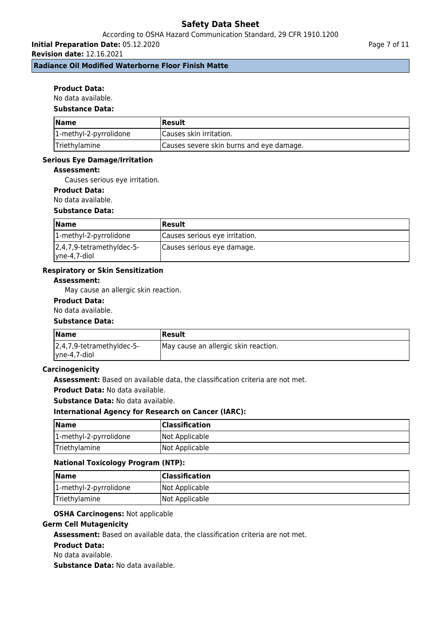# According to OSHA Hazard Communication Standard, 29 CFR 1910.1200

**Initial Preparation Date:** 05.12.2020

**Revision date:** 12.16.2021

#### **Radiance Oil Modified Waterborne Floor Finish Matte**

#### **Product Data:**

No data available.

#### **Substance Data:**

| <b>Name</b>            | <b> Result</b>                           |
|------------------------|------------------------------------------|
| 1-methyl-2-pyrrolidone | Causes skin irritation.                  |
| Triethylamine          | Causes severe skin burns and eye damage. |

#### **Serious Eye Damage/Irritation**

#### **Assessment:**

Causes serious eye irritation.

#### **Product Data:**

No data available.

#### **Substance Data:**

| <b>Name</b>                                       | Result                         |
|---------------------------------------------------|--------------------------------|
| 1-methyl-2-pyrrolidone                            | Causes serious eye irritation. |
| $ 2,4,7,9$ -tetramethyldec-5-<br>$ $ yne-4,7-diol | Causes serious eye damage.     |

#### **Respiratory or Skin Sensitization**

#### **Assessment:**

May cause an allergic skin reaction.

#### **Product Data:**

#### No data available.

#### **Substance Data:**

| <b>Name</b>                   | Result                               |
|-------------------------------|--------------------------------------|
| $ 2,4,7,9$ -tetramethyldec-5- | May cause an allergic skin reaction. |
| $ $ yne-4,7-diol              |                                      |

#### **Carcinogenicity**

**Assessment:** Based on available data, the classification criteria are not met.

**Product Data:** No data available.

**Substance Data:** No data available.

#### **International Agency for Research on Cancer (IARC):**

| Name                   | <b>Classification</b> |
|------------------------|-----------------------|
| 1-methyl-2-pyrrolidone | Not Applicable        |
| Triethylamine          | Not Applicable        |

#### **National Toxicology Program (NTP):**

| <b>Name</b>            | <b>Classification</b> |
|------------------------|-----------------------|
| 1-methyl-2-pyrrolidone | Not Applicable        |
| Triethylamine          | Not Applicable        |

### **OSHA Carcinogens:** Not applicable

#### **Germ Cell Mutagenicity**

**Assessment:** Based on available data, the classification criteria are not met.

#### **Product Data:**

No data available.

**Substance Data:** No data available.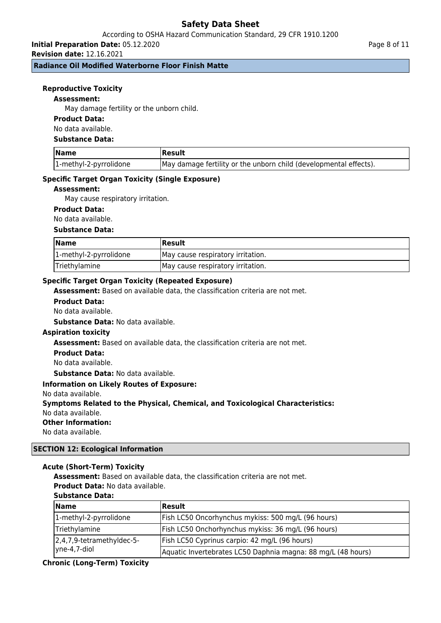# According to OSHA Hazard Communication Standard, 29 CFR 1910.1200

**Initial Preparation Date:** 05.12.2020 **Revision date:** 12.16.2021

**Radiance Oil Modified Waterborne Floor Finish Matte**

#### **Reproductive Toxicity**

#### **Assessment:**

May damage fertility or the unborn child.

#### **Product Data:**

No data available.

#### **Substance Data:**

| <b>Name</b>            | Result                                                            |
|------------------------|-------------------------------------------------------------------|
| 1-methyl-2-pyrrolidone | May damage fertility or the unborn child (developmental effects). |

#### **Specific Target Organ Toxicity (Single Exposure)**

#### **Assessment:**

May cause respiratory irritation.

#### **Product Data:**

No data available.

#### **Substance Data:**

| <b>Name</b>            | Result                            |
|------------------------|-----------------------------------|
| 1-methyl-2-pyrrolidone | May cause respiratory irritation. |
| Triethylamine          | May cause respiratory irritation. |

#### **Specific Target Organ Toxicity (Repeated Exposure)**

**Assessment:** Based on available data, the classification criteria are not met.

#### **Product Data:**

No data available.

**Substance Data:** No data available.

#### **Aspiration toxicity**

**Assessment:** Based on available data, the classification criteria are not met.

#### **Product Data:**

No data available.

**Substance Data:** No data available.

#### **Information on Likely Routes of Exposure:**

No data available.

#### **Symptoms Related to the Physical, Chemical, and Toxicological Characteristics:**

No data available.

#### **Other Information:**

No data available.

#### **SECTION 12: Ecological Information**

#### **Acute (Short-Term) Toxicity**

**Assessment:** Based on available data, the classification criteria are not met.

**Product Data:** No data available.

#### **Substance Data:**

| <b>Name</b>                                       | <b>Result</b>                                                |
|---------------------------------------------------|--------------------------------------------------------------|
| 1-methyl-2-pyrrolidone                            | Fish LC50 Oncorhynchus mykiss: 500 mg/L (96 hours)           |
| Triethylamine                                     | Fish LC50 Onchorhynchus mykiss: 36 mg/L (96 hours)           |
| $ 2,4,7,9$ -tetramethyldec-5-<br>$ $ yne-4,7-diol | Fish LC50 Cyprinus carpio: 42 mg/L (96 hours)                |
|                                                   | Aquatic Invertebrates LC50 Daphnia magna: 88 mg/L (48 hours) |

#### **Chronic (Long-Term) Toxicity**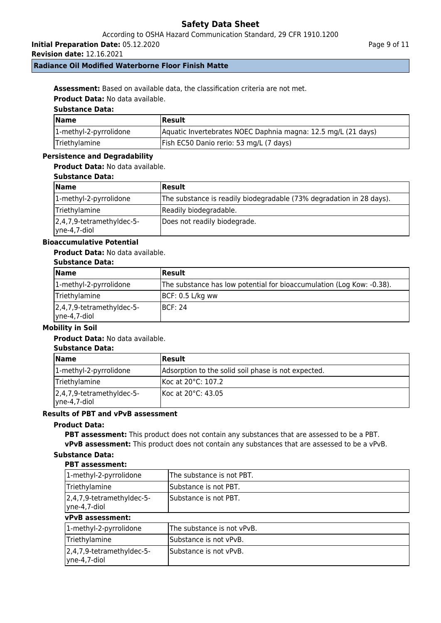According to OSHA Hazard Communication Standard, 29 CFR 1910.1200

**Initial Preparation Date:** 05.12.2020

**Revision date:** 12.16.2021

## **Radiance Oil Modified Waterborne Floor Finish Matte**

**Assessment:** Based on available data, the classification criteria are not met.

**Product Data:** No data available.

# **Substance Data:**

| <b>Name</b>            | Result                                                        |
|------------------------|---------------------------------------------------------------|
| 1-methyl-2-pyrrolidone | Aquatic Invertebrates NOEC Daphnia magna: 12.5 mg/L (21 days) |
| Triethylamine          | Fish EC50 Danio rerio: 53 mg/L (7 days)                       |

#### **Persistence and Degradability**

#### **Product Data:** No data available.

| <b>Substance Data:</b> |  |
|------------------------|--|
|------------------------|--|

| <b>Name</b>                                       | <b>IResult</b>                                                       |
|---------------------------------------------------|----------------------------------------------------------------------|
| 1-methyl-2-pyrrolidone                            | The substance is readily biodegradable (73% degradation in 28 days). |
| Triethylamine                                     | Readily biodegradable.                                               |
| $ 2,4,7,9$ -tetramethyldec-5-<br>$ $ yne-4,7-diol | Does not readily biodegrade.                                         |

# **Bioaccumulative Potential**

#### **Product Data:** No data available.

#### **Substance Data:**

| <b>Name</b>                                | Result                                                                |
|--------------------------------------------|-----------------------------------------------------------------------|
| 1-methyl-2-pyrrolidone                     | The substance has low potential for bioaccumulation (Log Kow: -0.38). |
| Triethylamine                              | $ BCF: 0.5 L/kg$ ww                                                   |
| 2,4,7,9-tetramethyldec-5-<br> yne-4,7-diol | IBCF: 24                                                              |

#### **Mobility in Soil**

#### **Product Data:** No data available.

# **Substance Data:**

| <b>Name</b>                               | Result                                              |
|-------------------------------------------|-----------------------------------------------------|
| 1-methyl-2-pyrrolidone                    | Adsorption to the solid soil phase is not expected. |
| Triethylamine                             | Koc at 20°C: 107.2                                  |
| 2,4,7,9-tetramethyldec-5-<br>yne-4,7-diol | IKoc at 20°C: 43.05                                 |

## **Results of PBT and vPvB assessment**

#### **Product Data:**

**PBT assessment:** This product does not contain any substances that are assessed to be a PBT. **vPvB assessment:** This product does not contain any substances that are assessed to be a vPvB.

#### **Substance Data:**

#### **PBT assessment:**

| 1-methyl-2-pyrrolidone                                        | The substance is not PBT.  |  |
|---------------------------------------------------------------|----------------------------|--|
| Triethylamine                                                 | Substance is not PBT.      |  |
| 2,4,7,9-tetramethyldec-5-<br>$ $ yne-4,7-diol                 | Substance is not PBT.      |  |
| vPvB assessment:                                              |                            |  |
| 1-methyl-2-pyrrolidone                                        | The substance is not vPvB. |  |
| Triethylamine                                                 | Substance is not vPvB.     |  |
| $\left 2,4,7,9\right $ -tetramethyldec-5-<br>$ $ yne-4,7-diol | Substance is not vPvB.     |  |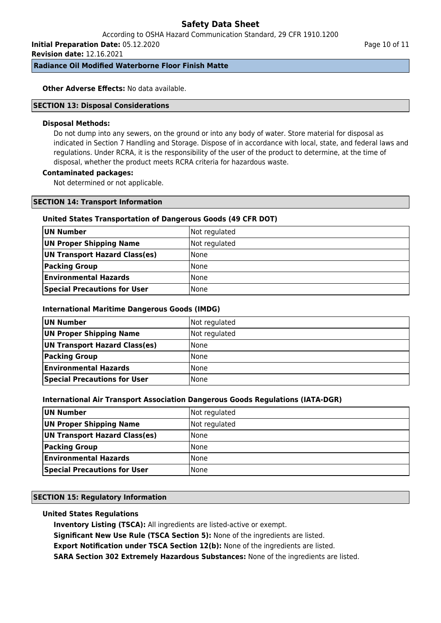According to OSHA Hazard Communication Standard, 29 CFR 1910.1200

**Initial Preparation Date:** 05.12.2020 **Revision date:** 12.16.2021

**Radiance Oil Modified Waterborne Floor Finish Matte**

**Other Adverse Effects: No data available.** 

#### **SECTION 13: Disposal Considerations**

#### **Disposal Methods:**

Do not dump into any sewers, on the ground or into any body of water. Store material for disposal as indicated in Section 7 Handling and Storage. Dispose of in accordance with local, state, and federal laws and regulations. Under RCRA, it is the responsibility of the user of the product to determine, at the time of disposal, whether the product meets RCRA criteria for hazardous waste.

#### **Contaminated packages:**

Not determined or not applicable.

#### **SECTION 14: Transport Information**

#### **United States Transportation of Dangerous Goods (49 CFR DOT)**

| UN Number                           | Not regulated |
|-------------------------------------|---------------|
| UN Proper Shipping Name             | Not regulated |
| UN Transport Hazard Class(es)       | <b>None</b>   |
| <b>Packing Group</b>                | <b>None</b>   |
| <b>Environmental Hazards</b>        | <b>None</b>   |
| <b>Special Precautions for User</b> | None          |

#### **International Maritime Dangerous Goods (IMDG)**

| UN Number                           | Not regulated |
|-------------------------------------|---------------|
| UN Proper Shipping Name             | Not regulated |
| UN Transport Hazard Class(es)       | <b>None</b>   |
| <b>Packing Group</b>                | <b>None</b>   |
| <b>Environmental Hazards</b>        | <b>None</b>   |
| <b>Special Precautions for User</b> | None          |

#### **International Air Transport Association Dangerous Goods Regulations (IATA-DGR)**

| UN Number                           | Not regulated |
|-------------------------------------|---------------|
| UN Proper Shipping Name             | Not regulated |
| UN Transport Hazard Class(es)       | l None        |
| <b>Packing Group</b>                | l None        |
| <b>Environmental Hazards</b>        | None          |
| <b>Special Precautions for User</b> | None          |

# **SECTION 15: Regulatory Information**

# **United States Regulations**

**Inventory Listing (TSCA):** All ingredients are listed-active or exempt.

**Significant New Use Rule (TSCA Section 5):** None of the ingredients are listed.

**Export Notification under TSCA Section 12(b):** None of the ingredients are listed.

**SARA Section 302 Extremely Hazardous Substances:** None of the ingredients are listed.